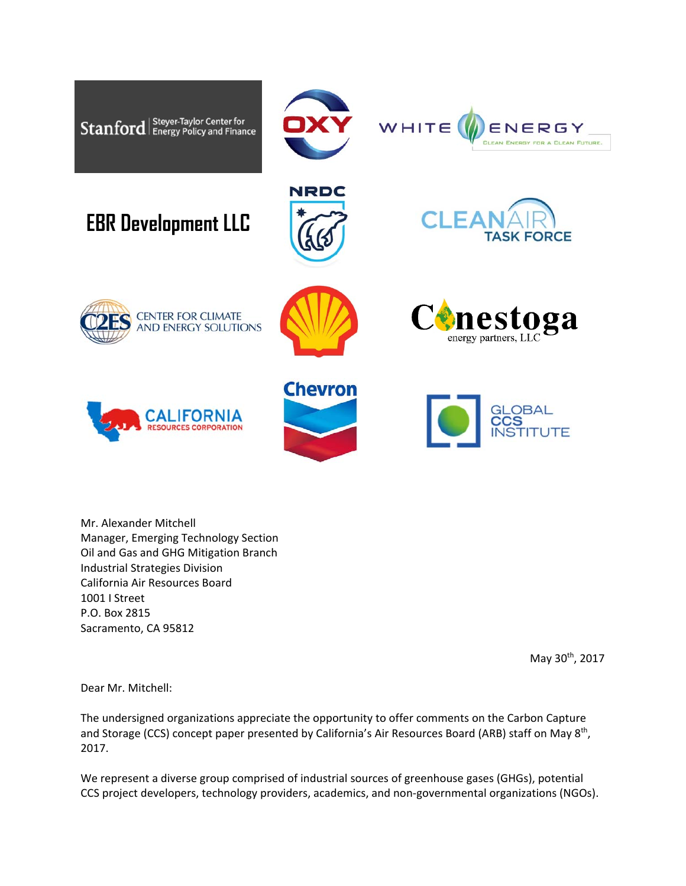

Mr. Alexander Mitchell Manager, Emerging Technology Section Oil and Gas and GHG Mitigation Branch Industrial Strategies Division California Air Resources Board 1001 I Street P.O. Box 2815 Sacramento, CA 95812

May 30th, 2017

Dear Mr. Mitchell:

The undersigned organizations appreciate the opportunity to offer comments on the Carbon Capture and Storage (CCS) concept paper presented by California's Air Resources Board (ARB) staff on May 8<sup>th</sup>, 2017.

We represent a diverse group comprised of industrial sources of greenhouse gases (GHGs), potential CCS project developers, technology providers, academics, and non‐governmental organizations (NGOs).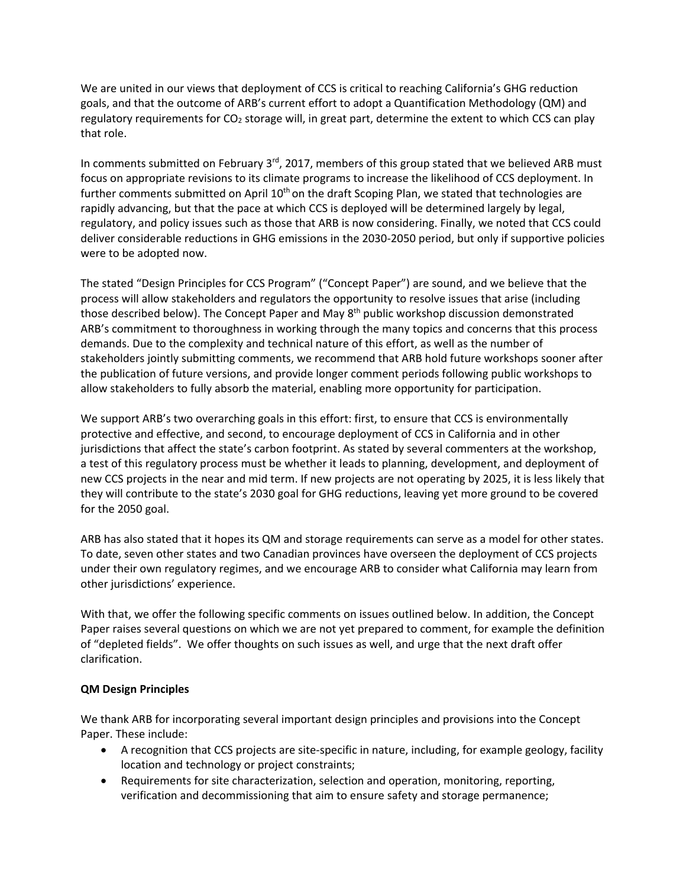We are united in our views that deployment of CCS is critical to reaching California's GHG reduction goals, and that the outcome of ARB's current effort to adopt a Quantification Methodology (QM) and regulatory requirements for CO<sub>2</sub> storage will, in great part, determine the extent to which CCS can play that role.

In comments submitted on February  $3^{rd}$ , 2017, members of this group stated that we believed ARB must focus on appropriate revisions to its climate programs to increase the likelihood of CCS deployment. In further comments submitted on April  $10<sup>th</sup>$  on the draft Scoping Plan, we stated that technologies are rapidly advancing, but that the pace at which CCS is deployed will be determined largely by legal, regulatory, and policy issues such as those that ARB is now considering. Finally, we noted that CCS could deliver considerable reductions in GHG emissions in the 2030‐2050 period, but only if supportive policies were to be adopted now.

The stated "Design Principles for CCS Program" ("Concept Paper") are sound, and we believe that the process will allow stakeholders and regulators the opportunity to resolve issues that arise (including those described below). The Concept Paper and May 8<sup>th</sup> public workshop discussion demonstrated ARB's commitment to thoroughness in working through the many topics and concerns that this process demands. Due to the complexity and technical nature of this effort, as well as the number of stakeholders jointly submitting comments, we recommend that ARB hold future workshops sooner after the publication of future versions, and provide longer comment periods following public workshops to allow stakeholders to fully absorb the material, enabling more opportunity for participation.

We support ARB's two overarching goals in this effort: first, to ensure that CCS is environmentally protective and effective, and second, to encourage deployment of CCS in California and in other jurisdictions that affect the state's carbon footprint. As stated by several commenters at the workshop, a test of this regulatory process must be whether it leads to planning, development, and deployment of new CCS projects in the near and mid term. If new projects are not operating by 2025, it is less likely that they will contribute to the state's 2030 goal for GHG reductions, leaving yet more ground to be covered for the 2050 goal.

ARB has also stated that it hopes its QM and storage requirements can serve as a model for other states. To date, seven other states and two Canadian provinces have overseen the deployment of CCS projects under their own regulatory regimes, and we encourage ARB to consider what California may learn from other jurisdictions' experience.

With that, we offer the following specific comments on issues outlined below. In addition, the Concept Paper raises several questions on which we are not yet prepared to comment, for example the definition of "depleted fields". We offer thoughts on such issues as well, and urge that the next draft offer clarification.

# **QM Design Principles**

We thank ARB for incorporating several important design principles and provisions into the Concept Paper. These include:

- A recognition that CCS projects are site-specific in nature, including, for example geology, facility location and technology or project constraints;
- Requirements for site characterization, selection and operation, monitoring, reporting, verification and decommissioning that aim to ensure safety and storage permanence;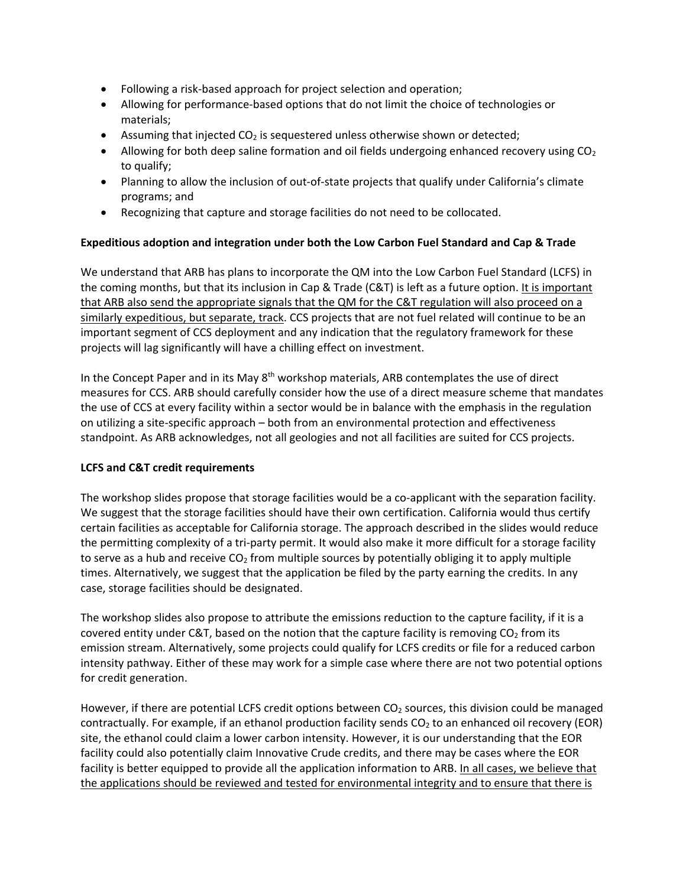- Following a risk‐based approach for project selection and operation;
- Allowing for performance-based options that do not limit the choice of technologies or materials;
- **•** Assuming that injected  $CO<sub>2</sub>$  is sequestered unless otherwise shown or detected;
- Allowing for both deep saline formation and oil fields undergoing enhanced recovery using  $CO<sub>2</sub>$ to qualify;
- Planning to allow the inclusion of out-of-state projects that qualify under California's climate programs; and
- Recognizing that capture and storage facilities do not need to be collocated.

### **Expeditious adoption and integration under both the Low Carbon Fuel Standard and Cap & Trade**

We understand that ARB has plans to incorporate the QM into the Low Carbon Fuel Standard (LCFS) in the coming months, but that its inclusion in Cap & Trade (C&T) is left as a future option. It is important that ARB also send the appropriate signals that the QM for the C&T regulation will also proceed on a similarly expeditious, but separate, track. CCS projects that are not fuel related will continue to be an important segment of CCS deployment and any indication that the regulatory framework for these projects will lag significantly will have a chilling effect on investment.

In the Concept Paper and in its May 8<sup>th</sup> workshop materials, ARB contemplates the use of direct measures for CCS. ARB should carefully consider how the use of a direct measure scheme that mandates the use of CCS at every facility within a sector would be in balance with the emphasis in the regulation on utilizing a site‐specific approach – both from an environmental protection and effectiveness standpoint. As ARB acknowledges, not all geologies and not all facilities are suited for CCS projects.

#### **LCFS and C&T credit requirements**

The workshop slides propose that storage facilities would be a co-applicant with the separation facility. We suggest that the storage facilities should have their own certification. California would thus certify certain facilities as acceptable for California storage. The approach described in the slides would reduce the permitting complexity of a tri‐party permit. It would also make it more difficult for a storage facility to serve as a hub and receive  $CO<sub>2</sub>$  from multiple sources by potentially obliging it to apply multiple times. Alternatively, we suggest that the application be filed by the party earning the credits. In any case, storage facilities should be designated.

The workshop slides also propose to attribute the emissions reduction to the capture facility, if it is a covered entity under C&T, based on the notion that the capture facility is removing  $CO<sub>2</sub>$  from its emission stream. Alternatively, some projects could qualify for LCFS credits or file for a reduced carbon intensity pathway. Either of these may work for a simple case where there are not two potential options for credit generation.

However, if there are potential LCFS credit options between  $CO<sub>2</sub>$  sources, this division could be managed contractually. For example, if an ethanol production facility sends  $CO<sub>2</sub>$  to an enhanced oil recovery (EOR) site, the ethanol could claim a lower carbon intensity. However, it is our understanding that the EOR facility could also potentially claim Innovative Crude credits, and there may be cases where the EOR facility is better equipped to provide all the application information to ARB. In all cases, we believe that the applications should be reviewed and tested for environmental integrity and to ensure that there is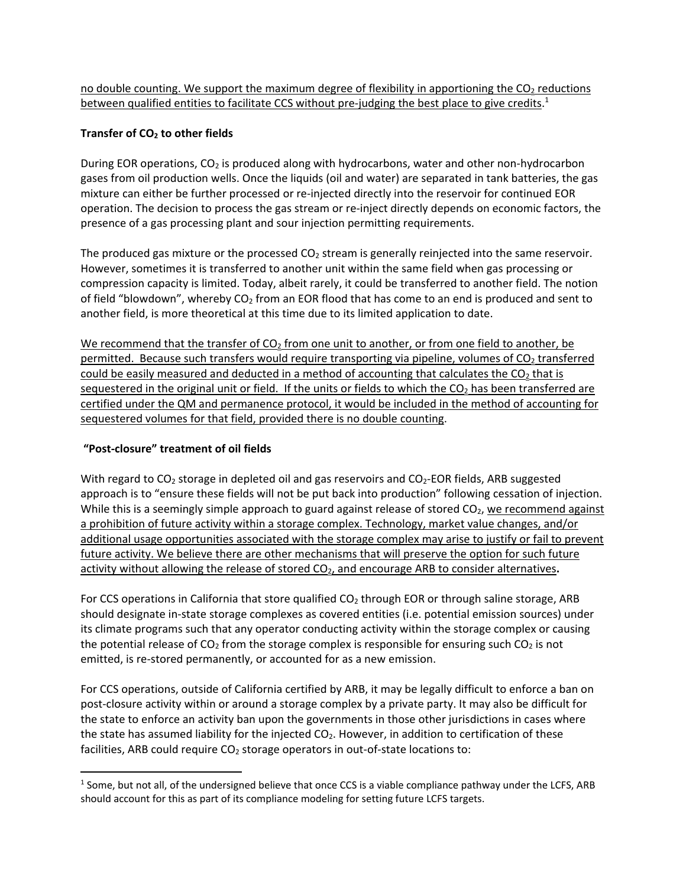no double counting. We support the maximum degree of flexibility in apportioning the  $CO<sub>2</sub>$  reductions between qualified entities to facilitate CCS without pre-judging the best place to give credits.<sup>1</sup>

### **Transfer of CO2 to other fields**

During EOR operations, CO<sub>2</sub> is produced along with hydrocarbons, water and other non-hydrocarbon gases from oil production wells. Once the liquids (oil and water) are separated in tank batteries, the gas mixture can either be further processed or re‐injected directly into the reservoir for continued EOR operation. The decision to process the gas stream or re‐inject directly depends on economic factors, the presence of a gas processing plant and sour injection permitting requirements.

The produced gas mixture or the processed  $CO<sub>2</sub>$  stream is generally reinjected into the same reservoir. However, sometimes it is transferred to another unit within the same field when gas processing or compression capacity is limited. Today, albeit rarely, it could be transferred to another field. The notion of field "blowdown", whereby  $CO<sub>2</sub>$  from an EOR flood that has come to an end is produced and sent to another field, is more theoretical at this time due to its limited application to date.

We recommend that the transfer of  $CO<sub>2</sub>$  from one unit to another, or from one field to another, be permitted. Because such transfers would require transporting via pipeline, volumes of  $CO<sub>2</sub>$  transferred could be easily measured and deducted in a method of accounting that calculates the  $CO<sub>2</sub>$  that is sequestered in the original unit or field. If the units or fields to which the  $CO<sub>2</sub>$  has been transferred are certified under the QM and permanence protocol, it would be included in the method of accounting for sequestered volumes for that field, provided there is no double counting.

# **"Post‐closure" treatment of oil fields**

With regard to  $CO<sub>2</sub>$  storage in depleted oil and gas reservoirs and  $CO<sub>2</sub>$ -EOR fields, ARB suggested approach is to "ensure these fields will not be put back into production" following cessation of injection. While this is a seemingly simple approach to guard against release of stored  $CO<sub>2</sub>$ , we recommend against a prohibition of future activity within a storage complex. Technology, market value changes, and/or additional usage opportunities associated with the storage complex may arise to justify or fail to prevent future activity. We believe there are other mechanisms that will preserve the option for such future activity without allowing the release of stored CO2, and encourage ARB to consider alternatives**.**

For CCS operations in California that store qualified  $CO<sub>2</sub>$  through EOR or through saline storage, ARB should designate in‐state storage complexes as covered entities (i.e. potential emission sources) under its climate programs such that any operator conducting activity within the storage complex or causing the potential release of  $CO<sub>2</sub>$  from the storage complex is responsible for ensuring such  $CO<sub>2</sub>$  is not emitted, is re‐stored permanently, or accounted for as a new emission.

For CCS operations, outside of California certified by ARB, it may be legally difficult to enforce a ban on post-closure activity within or around a storage complex by a private party. It may also be difficult for the state to enforce an activity ban upon the governments in those other jurisdictions in cases where the state has assumed liability for the injected  $CO<sub>2</sub>$ . However, in addition to certification of these facilities, ARB could require  $CO<sub>2</sub>$  storage operators in out-of-state locations to:

  $1$  Some, but not all, of the undersigned believe that once CCS is a viable compliance pathway under the LCFS, ARB should account for this as part of its compliance modeling for setting future LCFS targets.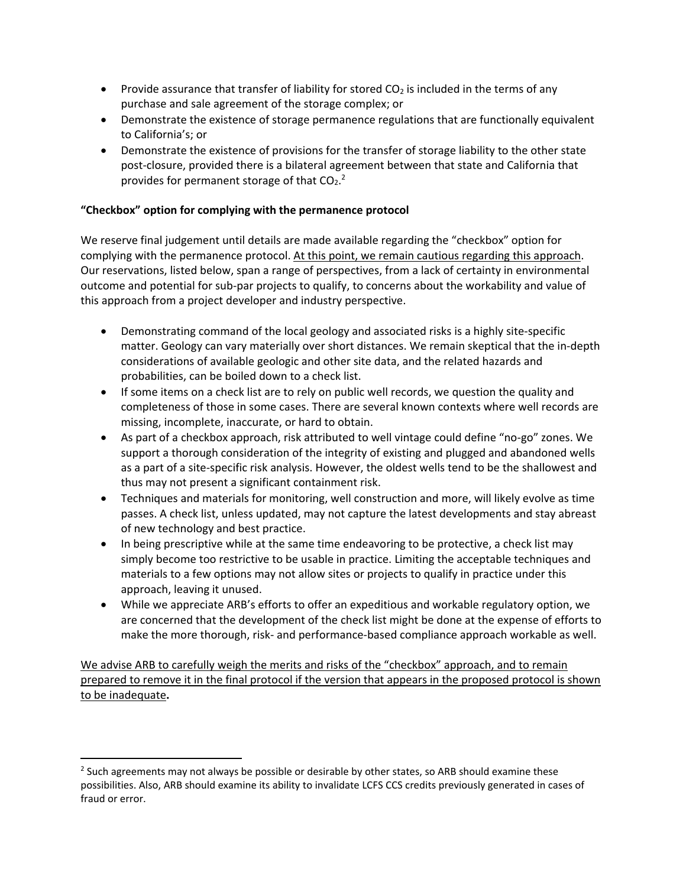- Provide assurance that transfer of liability for stored  $CO<sub>2</sub>$  is included in the terms of any purchase and sale agreement of the storage complex; or
- Demonstrate the existence of storage permanence regulations that are functionally equivalent to California's; or
- Demonstrate the existence of provisions for the transfer of storage liability to the other state post-closure, provided there is a bilateral agreement between that state and California that provides for permanent storage of that  $CO<sub>2</sub>$ .

### **"Checkbox" option for complying with the permanence protocol**

We reserve final judgement until details are made available regarding the "checkbox" option for complying with the permanence protocol. At this point, we remain cautious regarding this approach. Our reservations, listed below, span a range of perspectives, from a lack of certainty in environmental outcome and potential for sub‐par projects to qualify, to concerns about the workability and value of this approach from a project developer and industry perspective.

- Demonstrating command of the local geology and associated risks is a highly site-specific matter. Geology can vary materially over short distances. We remain skeptical that the in‐depth considerations of available geologic and other site data, and the related hazards and probabilities, can be boiled down to a check list.
- If some items on a check list are to rely on public well records, we question the quality and completeness of those in some cases. There are several known contexts where well records are missing, incomplete, inaccurate, or hard to obtain.
- As part of a checkbox approach, risk attributed to well vintage could define "no‐go" zones. We support a thorough consideration of the integrity of existing and plugged and abandoned wells as a part of a site-specific risk analysis. However, the oldest wells tend to be the shallowest and thus may not present a significant containment risk.
- Techniques and materials for monitoring, well construction and more, will likely evolve as time passes. A check list, unless updated, may not capture the latest developments and stay abreast of new technology and best practice.
- In being prescriptive while at the same time endeavoring to be protective, a check list may simply become too restrictive to be usable in practice. Limiting the acceptable techniques and materials to a few options may not allow sites or projects to qualify in practice under this approach, leaving it unused.
- While we appreciate ARB's efforts to offer an expeditious and workable regulatory option, we are concerned that the development of the check list might be done at the expense of efforts to make the more thorough, risk- and performance-based compliance approach workable as well.

We advise ARB to carefully weigh the merits and risks of the "checkbox" approach, and to remain prepared to remove it in the final protocol if the version that appears in the proposed protocol is shown to be inadequate**.**

<sup>&</sup>lt;sup>2</sup> Such agreements may not always be possible or desirable by other states, so ARB should examine these possibilities. Also, ARB should examine its ability to invalidate LCFS CCS credits previously generated in cases of fraud or error.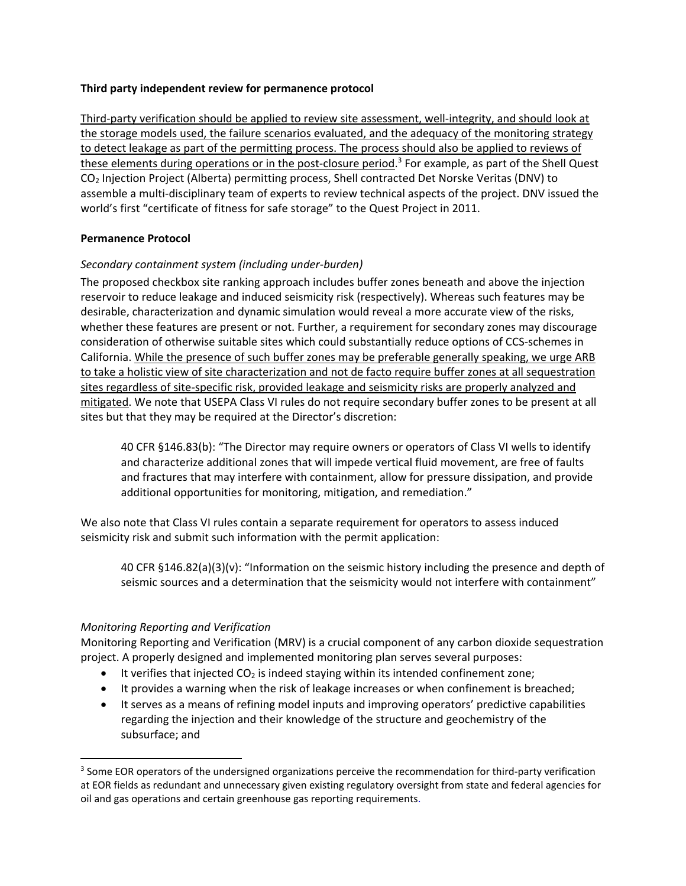#### **Third party independent review for permanence protocol**

Third‐party verification should be applied to review site assessment, well‐integrity, and should look at the storage models used, the failure scenarios evaluated, and the adequacy of the monitoring strategy to detect leakage as part of the permitting process. The process should also be applied to reviews of these elements during operations or in the post-closure period. $3$  For example, as part of the Shell Quest CO2 Injection Project (Alberta) permitting process, Shell contracted Det Norske Veritas (DNV) to assemble a multi‐disciplinary team of experts to review technical aspects of the project. DNV issued the world's first "certificate of fitness for safe storage" to the Quest Project in 2011.

#### **Permanence Protocol**

#### *Secondary containment system (including under‐burden)*

The proposed checkbox site ranking approach includes buffer zones beneath and above the injection reservoir to reduce leakage and induced seismicity risk (respectively). Whereas such features may be desirable, characterization and dynamic simulation would reveal a more accurate view of the risks, whether these features are present or not. Further, a requirement for secondary zones may discourage consideration of otherwise suitable sites which could substantially reduce options of CCS‐schemes in California. While the presence of such buffer zones may be preferable generally speaking, we urge ARB to take a holistic view of site characterization and not de facto require buffer zones at all sequestration sites regardless of site‐specific risk, provided leakage and seismicity risks are properly analyzed and mitigated. We note that USEPA Class VI rules do not require secondary buffer zones to be present at all sites but that they may be required at the Director's discretion:

40 CFR §146.83(b): "The Director may require owners or operators of Class VI wells to identify and characterize additional zones that will impede vertical fluid movement, are free of faults and fractures that may interfere with containment, allow for pressure dissipation, and provide additional opportunities for monitoring, mitigation, and remediation."

We also note that Class VI rules contain a separate requirement for operators to assess induced seismicity risk and submit such information with the permit application:

40 CFR §146.82(a)(3)(v): "Information on the seismic history including the presence and depth of seismic sources and a determination that the seismicity would not interfere with containment"

#### *Monitoring Reporting and Verification*

Monitoring Reporting and Verification (MRV) is a crucial component of any carbon dioxide sequestration project. A properly designed and implemented monitoring plan serves several purposes:

- $\bullet$  It verifies that injected CO<sub>2</sub> is indeed staying within its intended confinement zone;
- It provides a warning when the risk of leakage increases or when confinement is breached;
- It serves as a means of refining model inputs and improving operators' predictive capabilities regarding the injection and their knowledge of the structure and geochemistry of the subsurface; and

<sup>&</sup>lt;sup>3</sup> Some EOR operators of the undersigned organizations perceive the recommendation for third-party verification at EOR fields as redundant and unnecessary given existing regulatory oversight from state and federal agencies for oil and gas operations and certain greenhouse gas reporting requirements.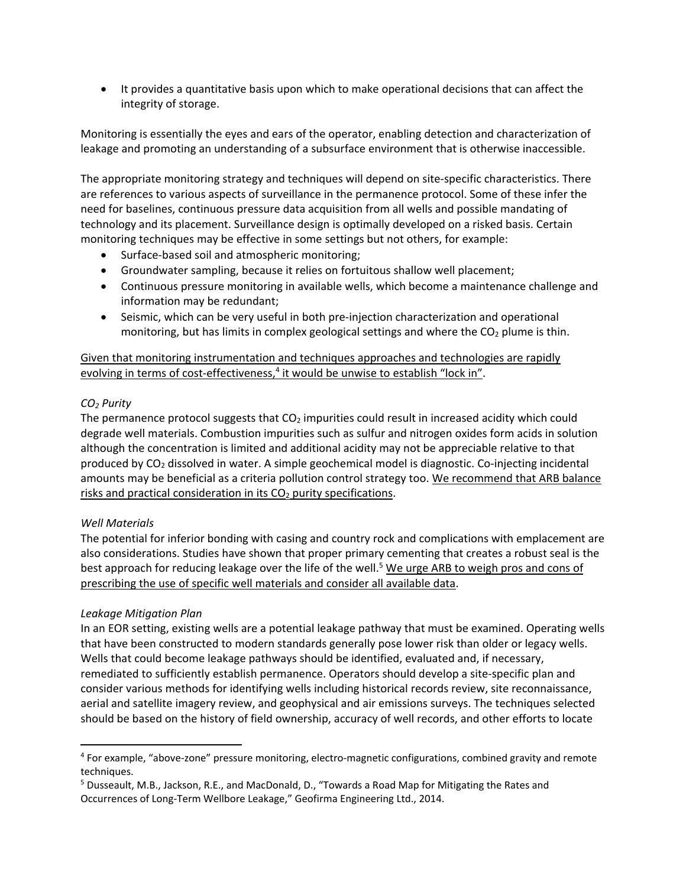It provides a quantitative basis upon which to make operational decisions that can affect the integrity of storage.

Monitoring is essentially the eyes and ears of the operator, enabling detection and characterization of leakage and promoting an understanding of a subsurface environment that is otherwise inaccessible.

The appropriate monitoring strategy and techniques will depend on site‐specific characteristics. There are references to various aspects of surveillance in the permanence protocol. Some of these infer the need for baselines, continuous pressure data acquisition from all wells and possible mandating of technology and its placement. Surveillance design is optimally developed on a risked basis. Certain monitoring techniques may be effective in some settings but not others, for example:

- Surface-based soil and atmospheric monitoring;
- Groundwater sampling, because it relies on fortuitous shallow well placement;
- Continuous pressure monitoring in available wells, which become a maintenance challenge and information may be redundant;
- Seismic, which can be very useful in both pre-injection characterization and operational monitoring, but has limits in complex geological settings and where the  $CO<sub>2</sub>$  plume is thin.

### Given that monitoring instrumentation and techniques approaches and technologies are rapidly evolving in terms of cost-effectiveness,<sup>4</sup> it would be unwise to establish "lock in".

# *CO2 Purity*

The permanence protocol suggests that  $CO<sub>2</sub>$  impurities could result in increased acidity which could degrade well materials. Combustion impurities such as sulfur and nitrogen oxides form acids in solution although the concentration is limited and additional acidity may not be appreciable relative to that produced by CO2 dissolved in water. A simple geochemical model is diagnostic. Co‐injecting incidental amounts may be beneficial as a criteria pollution control strategy too. We recommend that ARB balance risks and practical consideration in its  $CO<sub>2</sub>$  purity specifications.

# *Well Materials*

The potential for inferior bonding with casing and country rock and complications with emplacement are also considerations. Studies have shown that proper primary cementing that creates a robust seal is the best approach for reducing leakage over the life of the well.<sup>5</sup> We urge ARB to weigh pros and cons of prescribing the use of specific well materials and consider all available data.

#### *Leakage Mitigation Plan*

In an EOR setting, existing wells are a potential leakage pathway that must be examined. Operating wells that have been constructed to modern standards generally pose lower risk than older or legacy wells. Wells that could become leakage pathways should be identified, evaluated and, if necessary, remediated to sufficiently establish permanence. Operators should develop a site‐specific plan and consider various methods for identifying wells including historical records review, site reconnaissance, aerial and satellite imagery review, and geophysical and air emissions surveys. The techniques selected should be based on the history of field ownership, accuracy of well records, and other efforts to locate

<sup>4</sup> For example, "above‐zone" pressure monitoring, electro‐magnetic configurations, combined gravity and remote techniques.

<sup>5</sup> Dusseault, M.B., Jackson, R.E., and MacDonald, D., "Towards a Road Map for Mitigating the Rates and Occurrences of Long‐Term Wellbore Leakage," Geofirma Engineering Ltd., 2014.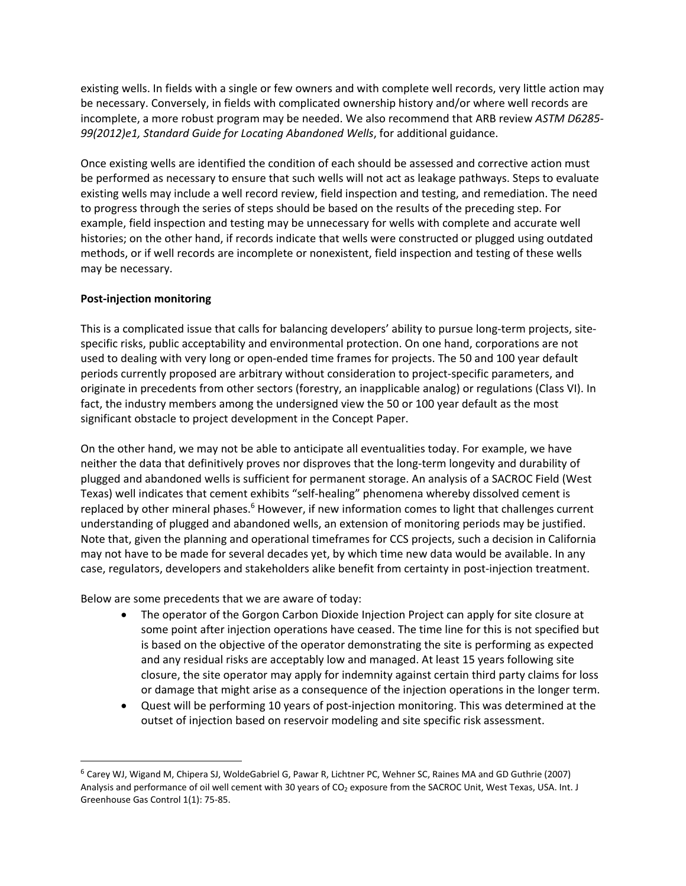existing wells. In fields with a single or few owners and with complete well records, very little action may be necessary. Conversely, in fields with complicated ownership history and/or where well records are incomplete, a more robust program may be needed. We also recommend that ARB review *ASTM D6285‐ 99(2012)e1, Standard Guide for Locating Abandoned Wells*, for additional guidance.

Once existing wells are identified the condition of each should be assessed and corrective action must be performed as necessary to ensure that such wells will not act as leakage pathways. Steps to evaluate existing wells may include a well record review, field inspection and testing, and remediation. The need to progress through the series of steps should be based on the results of the preceding step. For example, field inspection and testing may be unnecessary for wells with complete and accurate well histories; on the other hand, if records indicate that wells were constructed or plugged using outdated methods, or if well records are incomplete or nonexistent, field inspection and testing of these wells may be necessary.

#### **Post‐injection monitoring**

This is a complicated issue that calls for balancing developers' ability to pursue long-term projects, sitespecific risks, public acceptability and environmental protection. On one hand, corporations are not used to dealing with very long or open‐ended time frames for projects. The 50 and 100 year default periods currently proposed are arbitrary without consideration to project-specific parameters, and originate in precedents from other sectors (forestry, an inapplicable analog) or regulations (Class VI). In fact, the industry members among the undersigned view the 50 or 100 year default as the most significant obstacle to project development in the Concept Paper.

On the other hand, we may not be able to anticipate all eventualities today. For example, we have neither the data that definitively proves nor disproves that the long-term longevity and durability of plugged and abandoned wells is sufficient for permanent storage. An analysis of a SACROC Field (West Texas) well indicates that cement exhibits "self-healing" phenomena whereby dissolved cement is replaced by other mineral phases.<sup>6</sup> However, if new information comes to light that challenges current understanding of plugged and abandoned wells, an extension of monitoring periods may be justified. Note that, given the planning and operational timeframes for CCS projects, such a decision in California may not have to be made for several decades yet, by which time new data would be available. In any case, regulators, developers and stakeholders alike benefit from certainty in post‐injection treatment.

Below are some precedents that we are aware of today:

- The operator of the Gorgon Carbon Dioxide Injection Project can apply for site closure at some point after injection operations have ceased. The time line for this is not specified but is based on the objective of the operator demonstrating the site is performing as expected and any residual risks are acceptably low and managed. At least 15 years following site closure, the site operator may apply for indemnity against certain third party claims for loss or damage that might arise as a consequence of the injection operations in the longer term.
- Quest will be performing 10 years of post‐injection monitoring. This was determined at the outset of injection based on reservoir modeling and site specific risk assessment.

<sup>6</sup> Carey WJ, Wigand M, Chipera SJ, WoldeGabriel G, Pawar R, Lichtner PC, Wehner SC, Raines MA and GD Guthrie (2007) Analysis and performance of oil well cement with 30 years of CO<sub>2</sub> exposure from the SACROC Unit, West Texas, USA. Int. J Greenhouse Gas Control 1(1): 75‐85.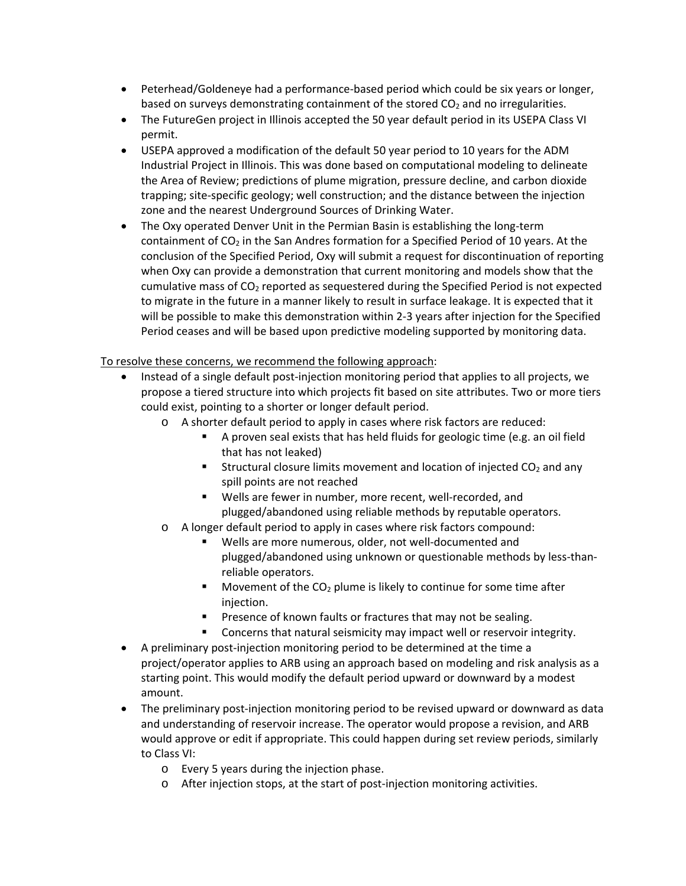- Peterhead/Goldeneye had a performance-based period which could be six years or longer, based on surveys demonstrating containment of the stored  $CO<sub>2</sub>$  and no irregularities.
- The FutureGen project in Illinois accepted the 50 year default period in its USEPA Class VI permit.
- USEPA approved a modification of the default 50 year period to 10 years for the ADM Industrial Project in Illinois. This was done based on computational modeling to delineate the Area of Review; predictions of plume migration, pressure decline, and carbon dioxide trapping; site‐specific geology; well construction; and the distance between the injection zone and the nearest Underground Sources of Drinking Water.
- The Oxy operated Denver Unit in the Permian Basin is establishing the long-term containment of  $CO<sub>2</sub>$  in the San Andres formation for a Specified Period of 10 years. At the conclusion of the Specified Period, Oxy will submit a request for discontinuation of reporting when Oxy can provide a demonstration that current monitoring and models show that the cumulative mass of  $CO<sub>2</sub>$  reported as sequestered during the Specified Period is not expected to migrate in the future in a manner likely to result in surface leakage. It is expected that it will be possible to make this demonstration within 2‐3 years after injection for the Specified Period ceases and will be based upon predictive modeling supported by monitoring data.

# To resolve these concerns, we recommend the following approach:

- Instead of a single default post-injection monitoring period that applies to all projects, we propose a tiered structure into which projects fit based on site attributes. Two or more tiers could exist, pointing to a shorter or longer default period.
	- o A shorter default period to apply in cases where risk factors are reduced:
		- A proven seal exists that has held fluids for geologic time (e.g. an oil field that has not leaked)
		- **Structural closure limits movement and location of injected CO<sub>2</sub> and any** spill points are not reached
		- Wells are fewer in number, more recent, well-recorded, and plugged/abandoned using reliable methods by reputable operators.
	- o A longer default period to apply in cases where risk factors compound:
		- Wells are more numerous, older, not well‐documented and plugged/abandoned using unknown or questionable methods by less‐than‐ reliable operators.
		- Movement of the  $CO<sub>2</sub>$  plume is likely to continue for some time after injection.
		- **Presence of known faults or fractures that may not be sealing.**
		- **EXEDENT** Concerns that natural seismicity may impact well or reservoir integrity.
- A preliminary post‐injection monitoring period to be determined at the time a project/operator applies to ARB using an approach based on modeling and risk analysis as a starting point. This would modify the default period upward or downward by a modest amount.
- The preliminary post-injection monitoring period to be revised upward or downward as data and understanding of reservoir increase. The operator would propose a revision, and ARB would approve or edit if appropriate. This could happen during set review periods, similarly to Class VI:
	- o Every 5 years during the injection phase.
	- o After injection stops, at the start of post‐injection monitoring activities.